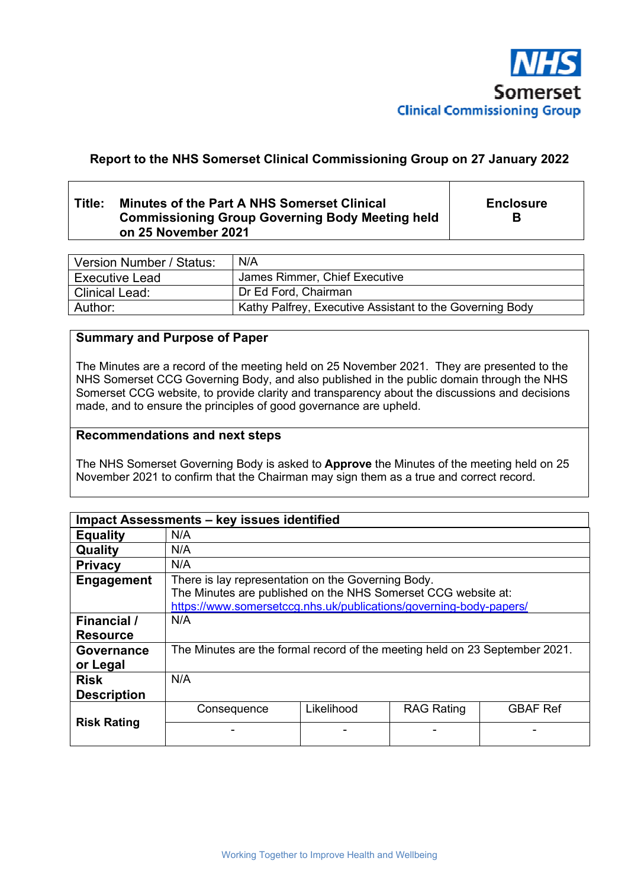

# **Report to the NHS Somerset Clinical Commissioning Group on 27 January 2022**

# **Title: Minutes of the Part A NHS Somerset Clinical Commissioning Group Governing Body Meeting held on 25 November 2021**

**Enclosure B** 

| Version Number / Status: | N/A                                                      |
|--------------------------|----------------------------------------------------------|
| <b>Executive Lead</b>    | James Rimmer, Chief Executive                            |
| l Clinical Lead:         | Dr Ed Ford, Chairman                                     |
| Author:                  | Kathy Palfrey, Executive Assistant to the Governing Body |

# **Summary and Purpose of Paper**

The Minutes are a record of the meeting held on 25 November 2021. They are presented to the NHS Somerset CCG Governing Body, and also published in the public domain through the NHS Somerset CCG website, to provide clarity and transparency about the discussions and decisions made, and to ensure the principles of good governance are upheld.

## **Recommendations and next steps**

The NHS Somerset Governing Body is asked to **Approve** the Minutes of the meeting held on 25 November 2021 to confirm that the Chairman may sign them as a true and correct record.

| Impact Assessments - key issues identified |                                                                                                                                                                                           |            |                   |                 |  |
|--------------------------------------------|-------------------------------------------------------------------------------------------------------------------------------------------------------------------------------------------|------------|-------------------|-----------------|--|
| <b>Equality</b>                            | N/A                                                                                                                                                                                       |            |                   |                 |  |
| Quality                                    | N/A                                                                                                                                                                                       |            |                   |                 |  |
| <b>Privacy</b>                             | N/A                                                                                                                                                                                       |            |                   |                 |  |
| <b>Engagement</b>                          | There is lay representation on the Governing Body.<br>The Minutes are published on the NHS Somerset CCG website at:<br>https://www.somersetccg.nhs.uk/publications/governing-body-papers/ |            |                   |                 |  |
| <b>Financial</b> /<br><b>Resource</b>      | N/A                                                                                                                                                                                       |            |                   |                 |  |
| <b>Governance</b><br>or Legal              | The Minutes are the formal record of the meeting held on 23 September 2021.                                                                                                               |            |                   |                 |  |
| <b>Risk</b><br><b>Description</b>          | N/A                                                                                                                                                                                       |            |                   |                 |  |
| <b>Risk Rating</b>                         | Consequence                                                                                                                                                                               | Likelihood | <b>RAG Rating</b> | <b>GBAF Ref</b> |  |
|                                            |                                                                                                                                                                                           |            |                   |                 |  |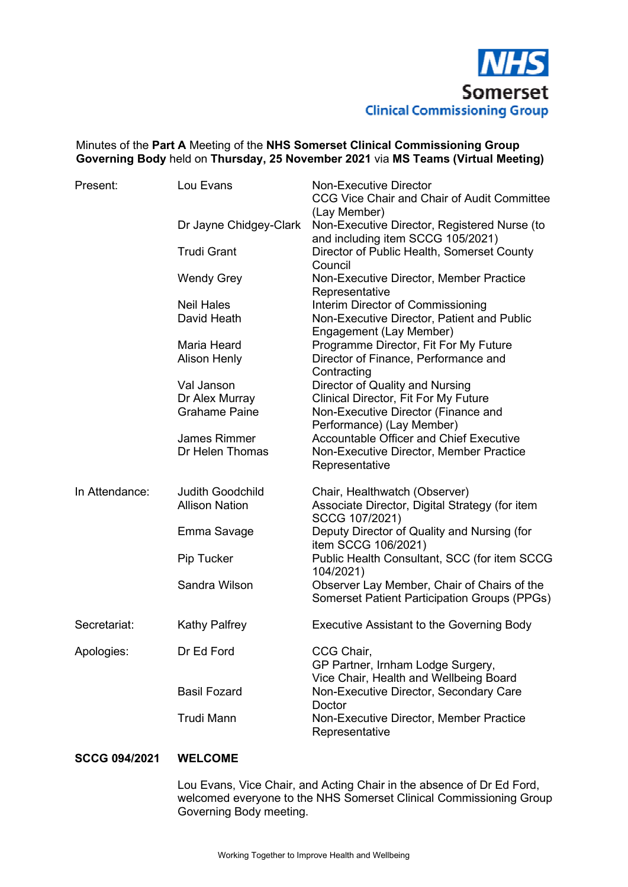

## Minutes of the **Part A** Meeting of the **NHS Somerset Clinical Commissioning Group Governing Body** held on **Thursday, 25 November 2021** via **MS Teams (Virtual Meeting)**

| Present:       | Lou Evans               | <b>Non-Executive Director</b><br>CCG Vice Chair and Chair of Audit Committee<br>(Lay Member)       |
|----------------|-------------------------|----------------------------------------------------------------------------------------------------|
|                | Dr Jayne Chidgey-Clark  | Non-Executive Director, Registered Nurse (to<br>and including item SCCG 105/2021)                  |
|                | <b>Trudi Grant</b>      | Director of Public Health, Somerset County<br>Council                                              |
|                | <b>Wendy Grey</b>       | Non-Executive Director, Member Practice<br>Representative                                          |
|                | <b>Neil Hales</b>       | Interim Director of Commissioning                                                                  |
|                | David Heath             | Non-Executive Director, Patient and Public<br>Engagement (Lay Member)                              |
|                | Maria Heard             | Programme Director, Fit For My Future                                                              |
|                | Alison Henly            | Director of Finance, Performance and<br>Contracting                                                |
|                | Val Janson              | Director of Quality and Nursing                                                                    |
|                | Dr Alex Murray          | Clinical Director, Fit For My Future                                                               |
|                | <b>Grahame Paine</b>    | Non-Executive Director (Finance and                                                                |
|                |                         | Performance) (Lay Member)                                                                          |
|                |                         |                                                                                                    |
|                | <b>James Rimmer</b>     | <b>Accountable Officer and Chief Executive</b>                                                     |
|                | Dr Helen Thomas         | Non-Executive Director, Member Practice                                                            |
|                |                         | Representative                                                                                     |
| In Attendance: | <b>Judith Goodchild</b> | Chair, Healthwatch (Observer)                                                                      |
|                | <b>Allison Nation</b>   | Associate Director, Digital Strategy (for item                                                     |
|                |                         | SCCG 107/2021)                                                                                     |
|                | Emma Savage             | Deputy Director of Quality and Nursing (for<br>item SCCG 106/2021)                                 |
|                | Pip Tucker              | Public Health Consultant, SCC (for item SCCG<br>104/2021)                                          |
|                | Sandra Wilson           | Observer Lay Member, Chair of Chairs of the<br><b>Somerset Patient Participation Groups (PPGs)</b> |
| Secretariat:   | <b>Kathy Palfrey</b>    | <b>Executive Assistant to the Governing Body</b>                                                   |
| Apologies:     | Dr Ed Ford              | CCG Chair,                                                                                         |
|                |                         | GP Partner, Irnham Lodge Surgery,                                                                  |
|                |                         |                                                                                                    |
|                |                         | Vice Chair, Health and Wellbeing Board                                                             |
|                | <b>Basil Fozard</b>     | Non-Executive Director, Secondary Care                                                             |
|                |                         | Doctor                                                                                             |
|                | Trudi Mann              | Non-Executive Director, Member Practice<br>Representative                                          |

# **SCCG 094/2021 WELCOME**

Lou Evans, Vice Chair, and Acting Chair in the absence of Dr Ed Ford, welcomed everyone to the NHS Somerset Clinical Commissioning Group Governing Body meeting.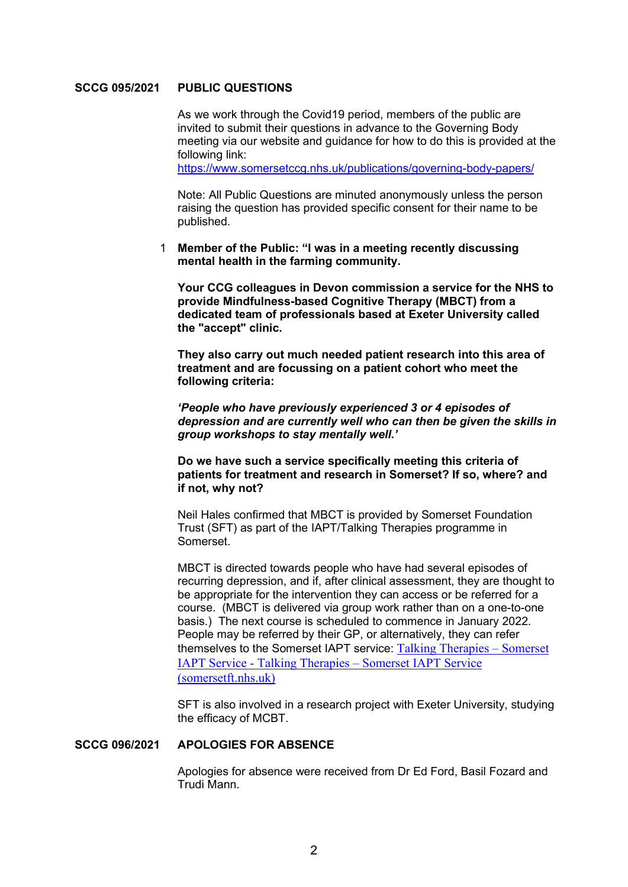## **SCCG 095/2021 PUBLIC QUESTIONS**

 As we work through the Covid19 period, members of the public are invited to submit their questions in advance to the Governing Body meeting via our website and guidance for how to do this is provided at the following link:

https://www.somersetccg.nhs.uk/publications/governing-body-papers/

 Note: All Public Questions are minuted anonymously unless the person raising the question has provided specific consent for their name to be published.

1 **Member of the Public: "I was in a meeting recently discussing mental health in the farming community.** 

**Your CCG colleagues in Devon commission a service for the NHS to provide Mindfulness-based Cognitive Therapy (MBCT) from a dedicated team of professionals based at Exeter University called the "accept" clinic.** 

**They also carry out much needed patient research into this area of treatment and are focussing on a patient cohort who meet the following criteria:** 

*'People who have previously experienced 3 or 4 episodes of depression and are currently well who can then be given the skills in group workshops to stay mentally well.'* 

**Do we have such a service specifically meeting this criteria of patients for treatment and research in Somerset? If so, where? and if not, why not?**

 Neil Hales confirmed that MBCT is provided by Somerset Foundation Trust (SFT) as part of the IAPT/Talking Therapies programme in Somerset.

 MBCT is directed towards people who have had several episodes of recurring depression, and if, after clinical assessment, they are thought to be appropriate for the intervention they can access or be referred for a course. (MBCT is delivered via group work rather than on a one-to-one basis.) The next course is scheduled to commence in January 2022. People may be referred by their GP, or alternatively, they can refer themselves to the Somerset IAPT service: Talking Therapies – Somerset IAPT Service - Talking Therapies – Somerset IAPT Service (somersetft.nhs.uk)

 SFT is also involved in a research project with Exeter University, studying the efficacy of MCBT.

### **SCCG 096/2021 APOLOGIES FOR ABSENCE**

 Apologies for absence were received from Dr Ed Ford, Basil Fozard and Trudi Mann.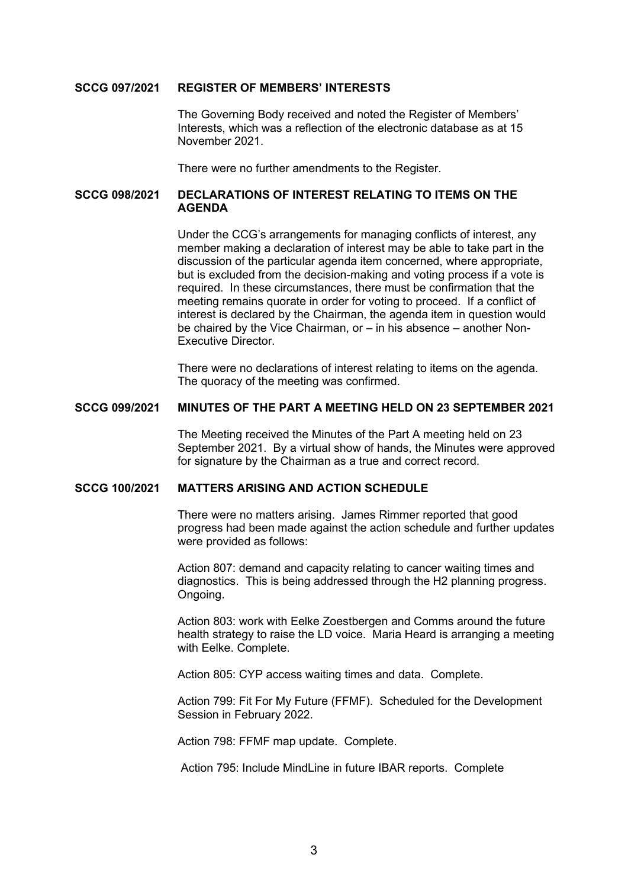#### **SCCG 097/2021 REGISTER OF MEMBERS' INTERESTS**

 The Governing Body received and noted the Register of Members' Interests, which was a reflection of the electronic database as at 15 November 2021.

There were no further amendments to the Register.

### **SCCG 098/2021 DECLARATIONS OF INTEREST RELATING TO ITEMS ON THE AGENDA**

 Under the CCG's arrangements for managing conflicts of interest, any member making a declaration of interest may be able to take part in the discussion of the particular agenda item concerned, where appropriate, but is excluded from the decision-making and voting process if a vote is required. In these circumstances, there must be confirmation that the meeting remains quorate in order for voting to proceed. If a conflict of interest is declared by the Chairman, the agenda item in question would be chaired by the Vice Chairman, or – in his absence – another Non-Executive Director.

 There were no declarations of interest relating to items on the agenda. The quoracy of the meeting was confirmed.

#### **SCCG 099/2021 MINUTES OF THE PART A MEETING HELD ON 23 SEPTEMBER 2021**

 The Meeting received the Minutes of the Part A meeting held on 23 September 2021. By a virtual show of hands, the Minutes were approved for signature by the Chairman as a true and correct record.

#### **SCCG 100/2021 MATTERS ARISING AND ACTION SCHEDULE**

 There were no matters arising. James Rimmer reported that good progress had been made against the action schedule and further updates were provided as follows:

 Action 807: demand and capacity relating to cancer waiting times and diagnostics. This is being addressed through the H2 planning progress. Ongoing.

 Action 803: work with Eelke Zoestbergen and Comms around the future health strategy to raise the LD voice. Maria Heard is arranging a meeting with Eelke. Complete.

Action 805: CYP access waiting times and data. Complete.

 Action 799: Fit For My Future (FFMF). Scheduled for the Development Session in February 2022.

Action 798: FFMF map update. Complete.

Action 795: Include MindLine in future IBAR reports. Complete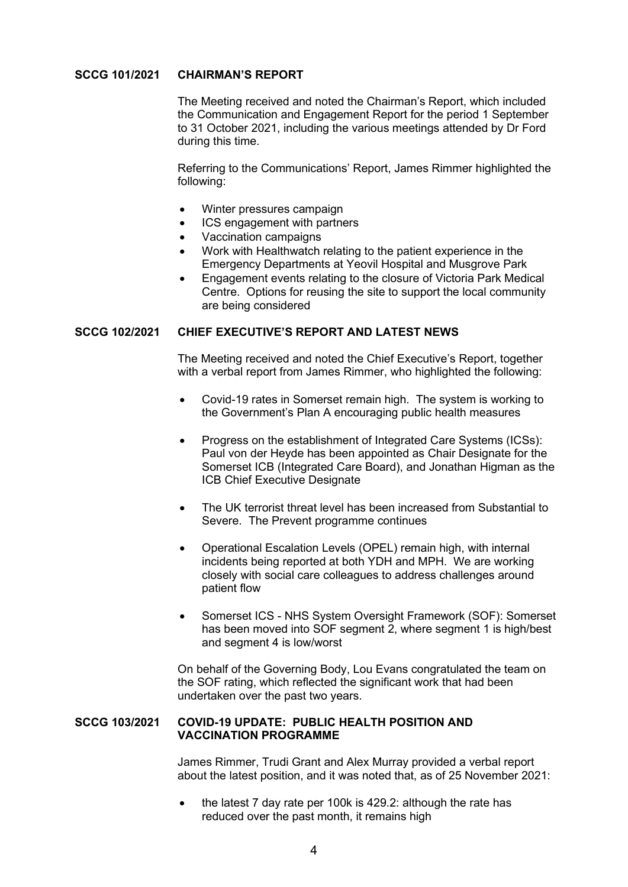# **SCCG 101/2021 CHAIRMAN'S REPORT**

 The Meeting received and noted the Chairman's Report, which included the Communication and Engagement Report for the period 1 September to 31 October 2021, including the various meetings attended by Dr Ford during this time.

 Referring to the Communications' Report, James Rimmer highlighted the following:

- Winter pressures campaign
- ICS engagement with partners
- Vaccination campaigns
- Work with Healthwatch relating to the patient experience in the Emergency Departments at Yeovil Hospital and Musgrove Park
- Engagement events relating to the closure of Victoria Park Medical Centre. Options for reusing the site to support the local community are being considered

## **SCCG 102/2021 CHIEF EXECUTIVE'S REPORT AND LATEST NEWS**

 The Meeting received and noted the Chief Executive's Report, together with a verbal report from James Rimmer, who highlighted the following:

- Covid-19 rates in Somerset remain high. The system is working to the Government's Plan A encouraging public health measures
- Progress on the establishment of Integrated Care Systems (ICSs): Paul von der Heyde has been appointed as Chair Designate for the Somerset ICB (Integrated Care Board), and Jonathan Higman as the ICB Chief Executive Designate
- The UK terrorist threat level has been increased from Substantial to Severe. The Prevent programme continues
- Operational Escalation Levels (OPEL) remain high, with internal incidents being reported at both YDH and MPH. We are working closely with social care colleagues to address challenges around patient flow
- Somerset ICS NHS System Oversight Framework (SOF): Somerset has been moved into SOF segment 2, where segment 1 is high/best and segment 4 is low/worst

 On behalf of the Governing Body, Lou Evans congratulated the team on the SOF rating, which reflected the significant work that had been undertaken over the past two years.

## **SCCG 103/2021 COVID-19 UPDATE: PUBLIC HEALTH POSITION AND VACCINATION PROGRAMME**

 James Rimmer, Trudi Grant and Alex Murray provided a verbal report about the latest position, and it was noted that, as of 25 November 2021:

 the latest 7 day rate per 100k is 429.2: although the rate has reduced over the past month, it remains high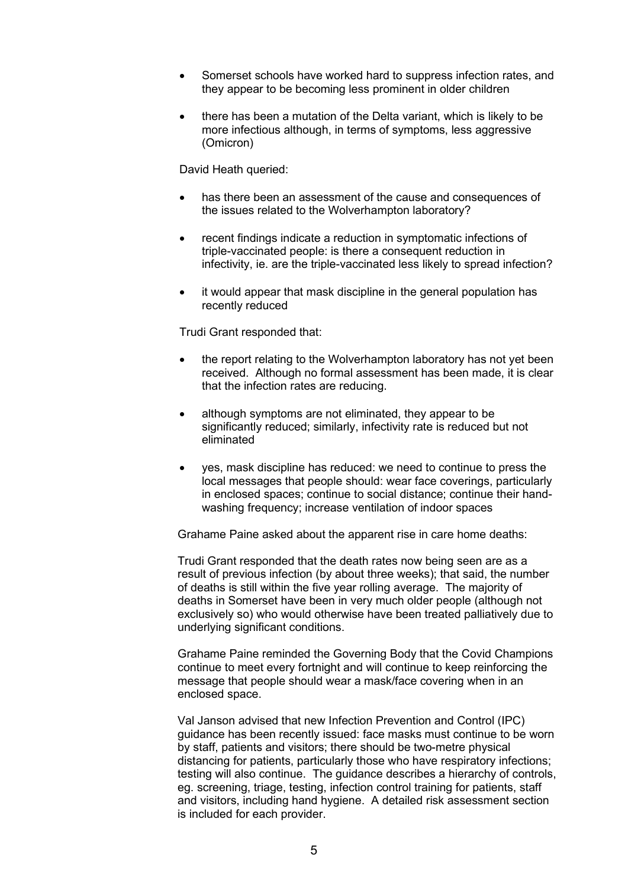- Somerset schools have worked hard to suppress infection rates, and they appear to be becoming less prominent in older children
- there has been a mutation of the Delta variant, which is likely to be more infectious although, in terms of symptoms, less aggressive (Omicron)

David Heath queried:

- has there been an assessment of the cause and consequences of the issues related to the Wolverhampton laboratory?
- recent findings indicate a reduction in symptomatic infections of triple-vaccinated people: is there a consequent reduction in infectivity, ie. are the triple-vaccinated less likely to spread infection?
- it would appear that mask discipline in the general population has recently reduced

Trudi Grant responded that:

- the report relating to the Wolverhampton laboratory has not yet been received. Although no formal assessment has been made, it is clear that the infection rates are reducing.
- although symptoms are not eliminated, they appear to be significantly reduced; similarly, infectivity rate is reduced but not eliminated
- ves, mask discipline has reduced: we need to continue to press the local messages that people should: wear face coverings, particularly in enclosed spaces; continue to social distance; continue their handwashing frequency; increase ventilation of indoor spaces

Grahame Paine asked about the apparent rise in care home deaths:

 Trudi Grant responded that the death rates now being seen are as a result of previous infection (by about three weeks); that said, the number of deaths is still within the five year rolling average. The majority of deaths in Somerset have been in very much older people (although not exclusively so) who would otherwise have been treated palliatively due to underlying significant conditions.

 Grahame Paine reminded the Governing Body that the Covid Champions continue to meet every fortnight and will continue to keep reinforcing the message that people should wear a mask/face covering when in an enclosed space.

 Val Janson advised that new Infection Prevention and Control (IPC) guidance has been recently issued: face masks must continue to be worn by staff, patients and visitors; there should be two-metre physical distancing for patients, particularly those who have respiratory infections; testing will also continue. The guidance describes a hierarchy of controls, eg. screening, triage, testing, infection control training for patients, staff and visitors, including hand hygiene. A detailed risk assessment section is included for each provider.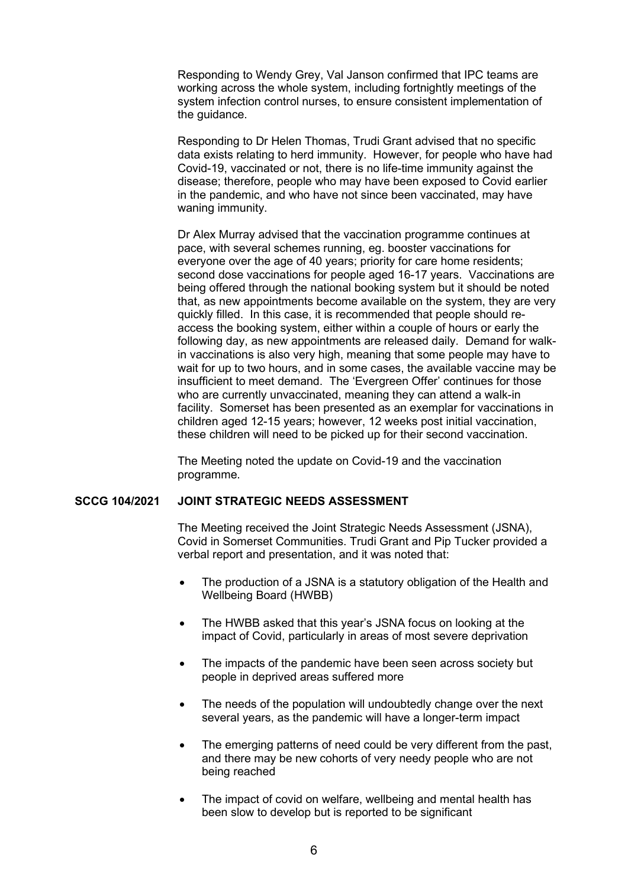Responding to Wendy Grey, Val Janson confirmed that IPC teams are working across the whole system, including fortnightly meetings of the system infection control nurses, to ensure consistent implementation of the quidance.

 Responding to Dr Helen Thomas, Trudi Grant advised that no specific data exists relating to herd immunity. However, for people who have had Covid-19, vaccinated or not, there is no life-time immunity against the disease; therefore, people who may have been exposed to Covid earlier in the pandemic, and who have not since been vaccinated, may have waning immunity.

 Dr Alex Murray advised that the vaccination programme continues at pace, with several schemes running, eg. booster vaccinations for everyone over the age of 40 years; priority for care home residents; second dose vaccinations for people aged 16-17 years. Vaccinations are being offered through the national booking system but it should be noted that, as new appointments become available on the system, they are very quickly filled. In this case, it is recommended that people should reaccess the booking system, either within a couple of hours or early the following day, as new appointments are released daily. Demand for walkin vaccinations is also very high, meaning that some people may have to wait for up to two hours, and in some cases, the available vaccine may be insufficient to meet demand. The 'Evergreen Offer' continues for those who are currently unvaccinated, meaning they can attend a walk-in facility. Somerset has been presented as an exemplar for vaccinations in children aged 12-15 years; however, 12 weeks post initial vaccination, these children will need to be picked up for their second vaccination.

 The Meeting noted the update on Covid-19 and the vaccination programme.

# **SCCG 104/2021 JOINT STRATEGIC NEEDS ASSESSMENT**

 The Meeting received the Joint Strategic Needs Assessment (JSNA), Covid in Somerset Communities. Trudi Grant and Pip Tucker provided a verbal report and presentation, and it was noted that:

- The production of a JSNA is a statutory obligation of the Health and Wellbeing Board (HWBB)
- The HWBB asked that this year's JSNA focus on looking at the impact of Covid, particularly in areas of most severe deprivation
- The impacts of the pandemic have been seen across society but people in deprived areas suffered more
- The needs of the population will undoubtedly change over the next several years, as the pandemic will have a longer-term impact
- The emerging patterns of need could be very different from the past. and there may be new cohorts of very needy people who are not being reached
- The impact of covid on welfare, wellbeing and mental health has been slow to develop but is reported to be significant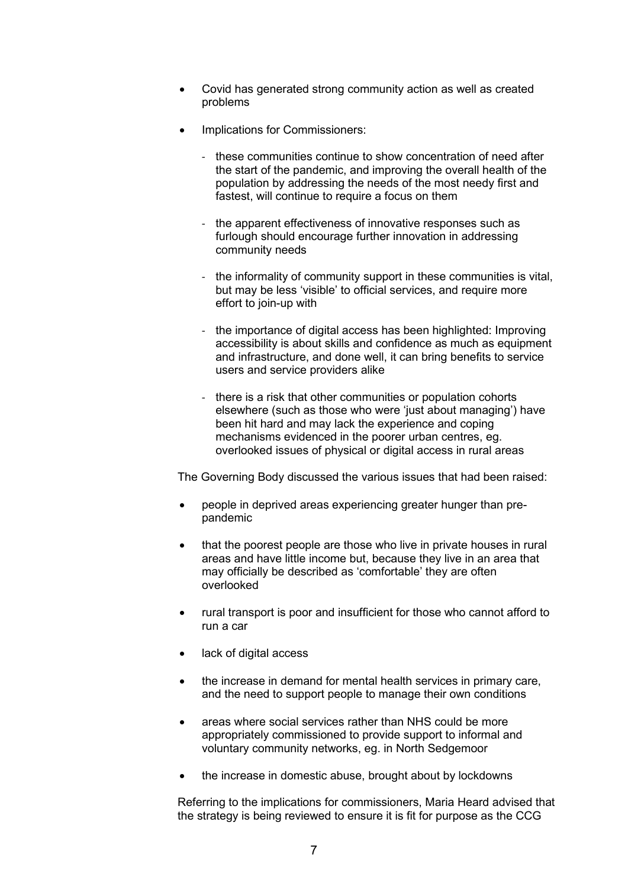- Covid has generated strong community action as well as created problems
- Implications for Commissioners:
	- these communities continue to show concentration of need after the start of the pandemic, and improving the overall health of the population by addressing the needs of the most needy first and fastest, will continue to require a focus on them
	- the apparent effectiveness of innovative responses such as furlough should encourage further innovation in addressing community needs
	- the informality of community support in these communities is vital, but may be less 'visible' to official services, and require more effort to join-up with
	- the importance of digital access has been highlighted: Improving accessibility is about skills and confidence as much as equipment and infrastructure, and done well, it can bring benefits to service users and service providers alike
	- there is a risk that other communities or population cohorts elsewhere (such as those who were 'just about managing') have been hit hard and may lack the experience and coping mechanisms evidenced in the poorer urban centres, eg. overlooked issues of physical or digital access in rural areas

The Governing Body discussed the various issues that had been raised:

- people in deprived areas experiencing greater hunger than prepandemic
- that the poorest people are those who live in private houses in rural areas and have little income but, because they live in an area that may officially be described as 'comfortable' they are often overlooked
- rural transport is poor and insufficient for those who cannot afford to run a car
- lack of digital access
- the increase in demand for mental health services in primary care, and the need to support people to manage their own conditions
- areas where social services rather than NHS could be more appropriately commissioned to provide support to informal and voluntary community networks, eg. in North Sedgemoor
- the increase in domestic abuse, brought about by lockdowns

 Referring to the implications for commissioners, Maria Heard advised that the strategy is being reviewed to ensure it is fit for purpose as the CCG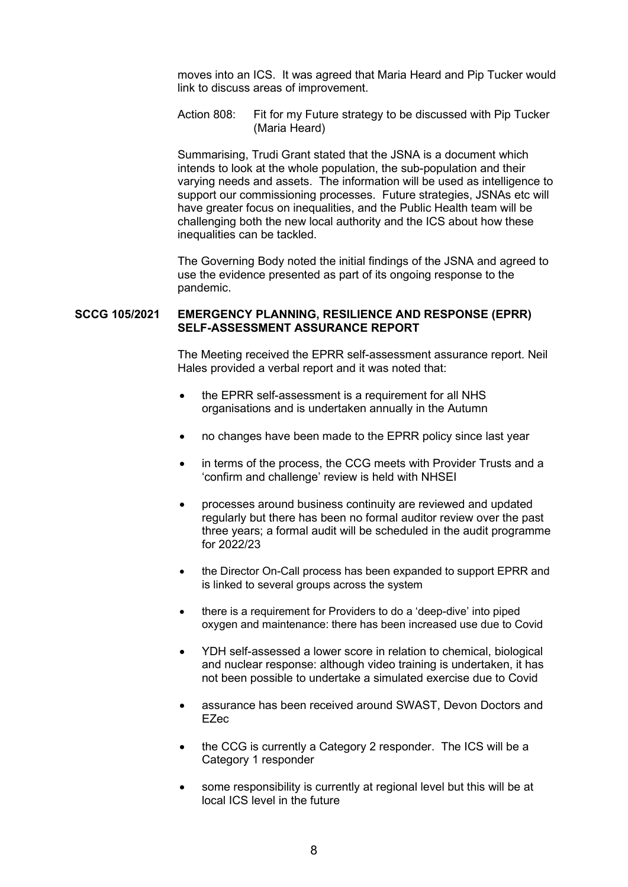moves into an ICS. It was agreed that Maria Heard and Pip Tucker would link to discuss areas of improvement.

 Action 808: Fit for my Future strategy to be discussed with Pip Tucker (Maria Heard)

 Summarising, Trudi Grant stated that the JSNA is a document which intends to look at the whole population, the sub-population and their varying needs and assets. The information will be used as intelligence to support our commissioning processes. Future strategies, JSNAs etc will have greater focus on inequalities, and the Public Health team will be challenging both the new local authority and the ICS about how these inequalities can be tackled.

 The Governing Body noted the initial findings of the JSNA and agreed to use the evidence presented as part of its ongoing response to the pandemic.

#### **SCCG 105/2021 EMERGENCY PLANNING, RESILIENCE AND RESPONSE (EPRR) SELF-ASSESSMENT ASSURANCE REPORT**

 The Meeting received the EPRR self-assessment assurance report. Neil Hales provided a verbal report and it was noted that:

- the EPRR self-assessment is a requirement for all NHS organisations and is undertaken annually in the Autumn
- no changes have been made to the EPRR policy since last year
- in terms of the process, the CCG meets with Provider Trusts and a 'confirm and challenge' review is held with NHSEI
- processes around business continuity are reviewed and updated regularly but there has been no formal auditor review over the past three years; a formal audit will be scheduled in the audit programme for 2022/23
- the Director On-Call process has been expanded to support EPRR and is linked to several groups across the system
- there is a requirement for Providers to do a 'deep-dive' into piped oxygen and maintenance: there has been increased use due to Covid
- YDH self-assessed a lower score in relation to chemical, biological and nuclear response: although video training is undertaken, it has not been possible to undertake a simulated exercise due to Covid
- assurance has been received around SWAST, Devon Doctors and EZec
- the CCG is currently a Category 2 responder. The ICS will be a Category 1 responder
- some responsibility is currently at regional level but this will be at local ICS level in the future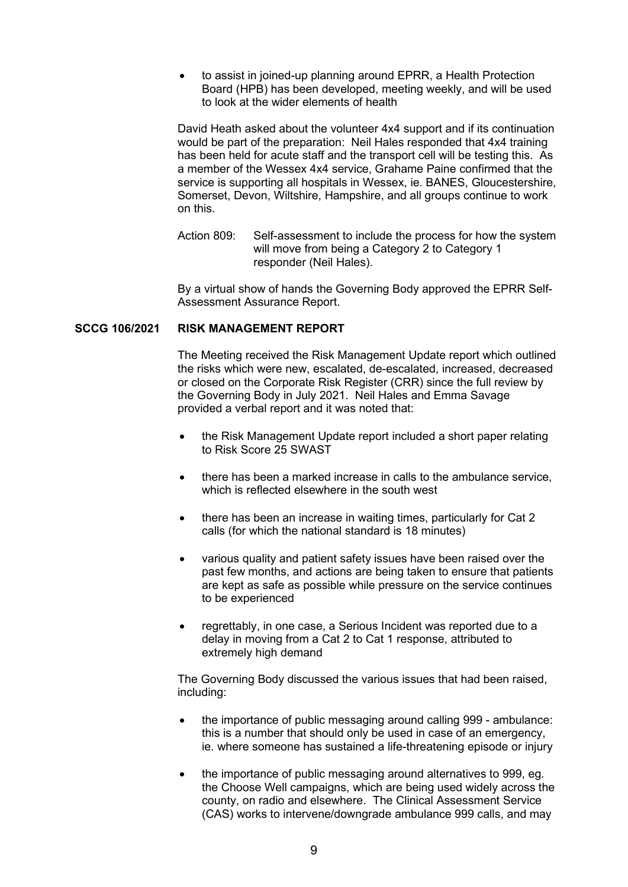to assist in joined-up planning around EPRR, a Health Protection Board (HPB) has been developed, meeting weekly, and will be used to look at the wider elements of health

David Heath asked about the volunteer 4x4 support and if its continuation would be part of the preparation: Neil Hales responded that 4x4 training has been held for acute staff and the transport cell will be testing this. As a member of the Wessex 4x4 service, Grahame Paine confirmed that the service is supporting all hospitals in Wessex, ie. BANES, Gloucestershire. Somerset, Devon, Wiltshire, Hampshire, and all groups continue to work on this.

Action 809: Self-assessment to include the process for how the system will move from being a Category 2 to Category 1 responder (Neil Hales).

By a virtual show of hands the Governing Body approved the EPRR Self-Assessment Assurance Report.

## **SCCG 106/2021 RISK MANAGEMENT REPORT**

 The Meeting received the Risk Management Update report which outlined the risks which were new, escalated, de-escalated, increased, decreased or closed on the Corporate Risk Register (CRR) since the full review by the Governing Body in July 2021. Neil Hales and Emma Savage provided a verbal report and it was noted that:

- the Risk Management Update report included a short paper relating to Risk Score 25 SWAST
- there has been a marked increase in calls to the ambulance service, which is reflected elsewhere in the south west
- there has been an increase in waiting times, particularly for Cat 2 calls (for which the national standard is 18 minutes)
- various quality and patient safety issues have been raised over the past few months, and actions are being taken to ensure that patients are kept as safe as possible while pressure on the service continues to be experienced
- regrettably, in one case, a Serious Incident was reported due to a delay in moving from a Cat 2 to Cat 1 response, attributed to extremely high demand

 The Governing Body discussed the various issues that had been raised, including:

- the importance of public messaging around calling 999 ambulance: this is a number that should only be used in case of an emergency, ie. where someone has sustained a life-threatening episode or injury
- the importance of public messaging around alternatives to 999, eg. the Choose Well campaigns, which are being used widely across the county, on radio and elsewhere. The Clinical Assessment Service (CAS) works to intervene/downgrade ambulance 999 calls, and may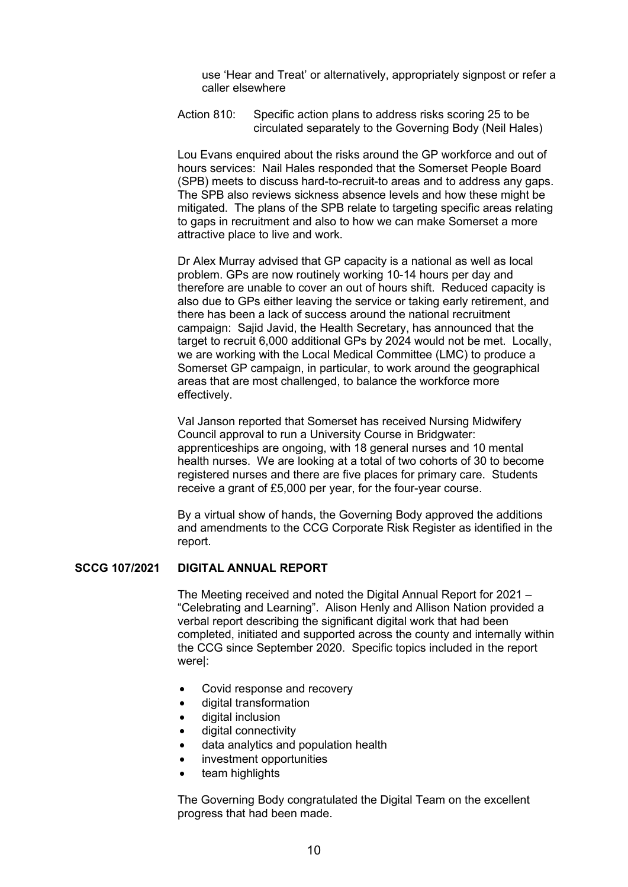use 'Hear and Treat' or alternatively, appropriately signpost or refer a caller elsewhere

 Action 810: Specific action plans to address risks scoring 25 to be circulated separately to the Governing Body (Neil Hales)

 Lou Evans enquired about the risks around the GP workforce and out of hours services: Nail Hales responded that the Somerset People Board (SPB) meets to discuss hard-to-recruit-to areas and to address any gaps. The SPB also reviews sickness absence levels and how these might be mitigated. The plans of the SPB relate to targeting specific areas relating to gaps in recruitment and also to how we can make Somerset a more attractive place to live and work.

 Dr Alex Murray advised that GP capacity is a national as well as local problem. GPs are now routinely working 10-14 hours per day and therefore are unable to cover an out of hours shift. Reduced capacity is also due to GPs either leaving the service or taking early retirement, and there has been a lack of success around the national recruitment campaign: Sajid Javid, the Health Secretary, has announced that the target to recruit 6,000 additional GPs by 2024 would not be met. Locally, we are working with the Local Medical Committee (LMC) to produce a Somerset GP campaign, in particular, to work around the geographical areas that are most challenged, to balance the workforce more effectively.

 Val Janson reported that Somerset has received Nursing Midwifery Council approval to run a University Course in Bridgwater: apprenticeships are ongoing, with 18 general nurses and 10 mental health nurses. We are looking at a total of two cohorts of 30 to become registered nurses and there are five places for primary care. Students receive a grant of £5,000 per year, for the four-year course.

 By a virtual show of hands, the Governing Body approved the additions and amendments to the CCG Corporate Risk Register as identified in the report.

#### **SCCG 107/2021 DIGITAL ANNUAL REPORT**

 The Meeting received and noted the Digital Annual Report for 2021 – "Celebrating and Learning". Alison Henly and Allison Nation provided a verbal report describing the significant digital work that had been completed, initiated and supported across the county and internally within the CCG since September 2020. Specific topics included in the report were|:

- Covid response and recovery
- digital transformation
- digital inclusion
- digital connectivity
- data analytics and population health
- investment opportunities
- team highlights

 The Governing Body congratulated the Digital Team on the excellent progress that had been made.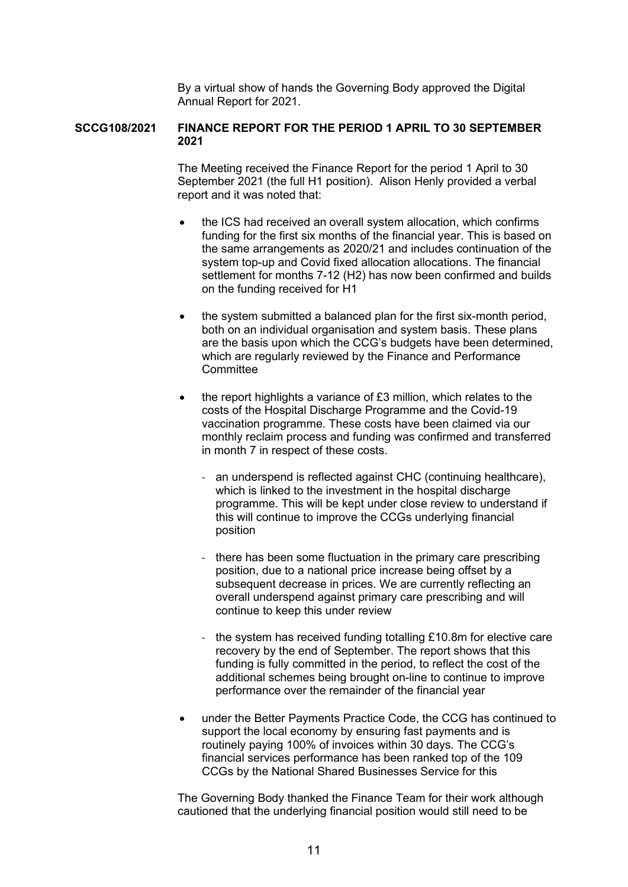By a virtual show of hands the Governing Body approved the Digital Annual Report for 2021.

## **SCCG108/2021 FINANCE REPORT FOR THE PERIOD 1 APRIL TO 30 SEPTEMBER 2021**

 The Meeting received the Finance Report for the period 1 April to 30 September 2021 (the full H1 position). Alison Henly provided a verbal report and it was noted that:

- the ICS had received an overall system allocation, which confirms funding for the first six months of the financial year. This is based on the same arrangements as 2020/21 and includes continuation of the system top-up and Covid fixed allocation allocations. The financial settlement for months 7-12 (H2) has now been confirmed and builds on the funding received for H1
- the system submitted a balanced plan for the first six-month period, both on an individual organisation and system basis. These plans are the basis upon which the CCG's budgets have been determined, which are regularly reviewed by the Finance and Performance **Committee**
- the report highlights a variance of £3 million, which relates to the costs of the Hospital Discharge Programme and the Covid-19 vaccination programme. These costs have been claimed via our monthly reclaim process and funding was confirmed and transferred in month 7 in respect of these costs.
	- an underspend is reflected against CHC (continuing healthcare), which is linked to the investment in the hospital discharge programme. This will be kept under close review to understand if this will continue to improve the CCGs underlying financial position
	- there has been some fluctuation in the primary care prescribing position, due to a national price increase being offset by a subsequent decrease in prices. We are currently reflecting an overall underspend against primary care prescribing and will continue to keep this under review
	- the system has received funding totalling £10.8m for elective care recovery by the end of September. The report shows that this funding is fully committed in the period, to reflect the cost of the additional schemes being brought on-line to continue to improve performance over the remainder of the financial year
- under the Better Payments Practice Code, the CCG has continued to support the local economy by ensuring fast payments and is routinely paying 100% of invoices within 30 days. The CCG's financial services performance has been ranked top of the 109 CCGs by the National Shared Businesses Service for this

 The Governing Body thanked the Finance Team for their work although cautioned that the underlying financial position would still need to be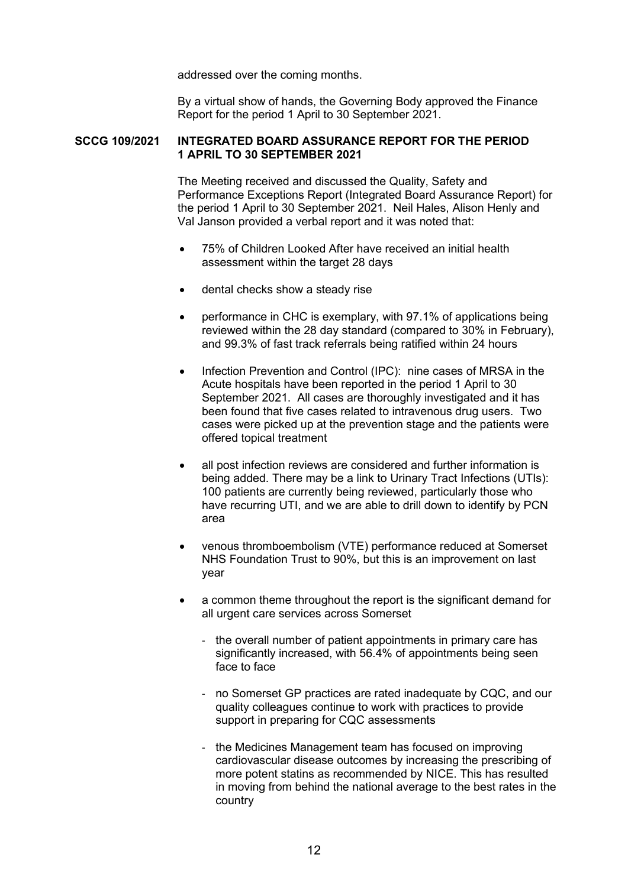addressed over the coming months.

 By a virtual show of hands, the Governing Body approved the Finance Report for the period 1 April to 30 September 2021.

#### **SCCG 109/2021 INTEGRATED BOARD ASSURANCE REPORT FOR THE PERIOD 1 APRIL TO 30 SEPTEMBER 2021**

 The Meeting received and discussed the Quality, Safety and Performance Exceptions Report (Integrated Board Assurance Report) for the period 1 April to 30 September 2021. Neil Hales, Alison Henly and Val Janson provided a verbal report and it was noted that:

- 75% of Children Looked After have received an initial health assessment within the target 28 days
- dental checks show a steady rise
- performance in CHC is exemplary, with 97.1% of applications being reviewed within the 28 day standard (compared to 30% in February), and 99.3% of fast track referrals being ratified within 24 hours
- Infection Prevention and Control (IPC): nine cases of MRSA in the Acute hospitals have been reported in the period 1 April to 30 September 2021. All cases are thoroughly investigated and it has been found that five cases related to intravenous drug users. Two cases were picked up at the prevention stage and the patients were offered topical treatment
- all post infection reviews are considered and further information is being added. There may be a link to Urinary Tract Infections (UTIs): 100 patients are currently being reviewed, particularly those who have recurring UTI, and we are able to drill down to identify by PCN area
- venous thromboembolism (VTE) performance reduced at Somerset NHS Foundation Trust to 90%, but this is an improvement on last year
- a common theme throughout the report is the significant demand for all urgent care services across Somerset
	- the overall number of patient appointments in primary care has significantly increased, with 56.4% of appointments being seen face to face
	- no Somerset GP practices are rated inadequate by CQC, and our quality colleagues continue to work with practices to provide support in preparing for CQC assessments
	- the Medicines Management team has focused on improving cardiovascular disease outcomes by increasing the prescribing of more potent statins as recommended by NICE. This has resulted in moving from behind the national average to the best rates in the country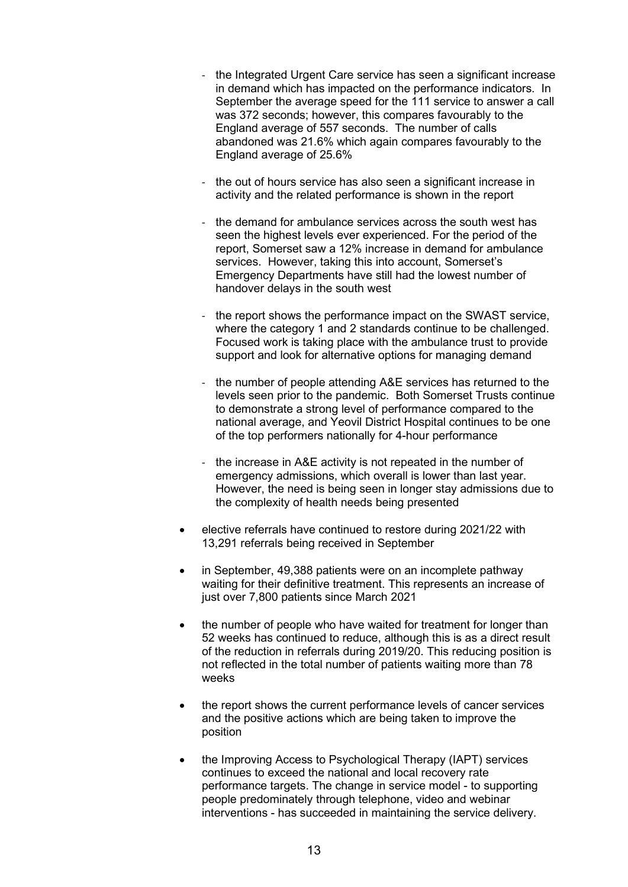- the Integrated Urgent Care service has seen a significant increase in demand which has impacted on the performance indicators. In September the average speed for the 111 service to answer a call was 372 seconds; however, this compares favourably to the England average of 557 seconds. The number of calls abandoned was 21.6% which again compares favourably to the England average of 25.6%
- the out of hours service has also seen a significant increase in activity and the related performance is shown in the report
- the demand for ambulance services across the south west has seen the highest levels ever experienced. For the period of the report, Somerset saw a 12% increase in demand for ambulance services. However, taking this into account, Somerset's Emergency Departments have still had the lowest number of handover delays in the south west
- the report shows the performance impact on the SWAST service, where the category 1 and 2 standards continue to be challenged. Focused work is taking place with the ambulance trust to provide support and look for alternative options for managing demand
- the number of people attending A&E services has returned to the levels seen prior to the pandemic. Both Somerset Trusts continue to demonstrate a strong level of performance compared to the national average, and Yeovil District Hospital continues to be one of the top performers nationally for 4-hour performance
- the increase in A&E activity is not repeated in the number of emergency admissions, which overall is lower than last year. However, the need is being seen in longer stay admissions due to the complexity of health needs being presented
- elective referrals have continued to restore during 2021/22 with 13,291 referrals being received in September
- in September, 49,388 patients were on an incomplete pathway waiting for their definitive treatment. This represents an increase of just over 7,800 patients since March 2021
- the number of people who have waited for treatment for longer than 52 weeks has continued to reduce, although this is as a direct result of the reduction in referrals during 2019/20. This reducing position is not reflected in the total number of patients waiting more than 78 weeks
- the report shows the current performance levels of cancer services and the positive actions which are being taken to improve the position
- the Improving Access to Psychological Therapy (IAPT) services continues to exceed the national and local recovery rate performance targets. The change in service model - to supporting people predominately through telephone, video and webinar interventions - has succeeded in maintaining the service delivery.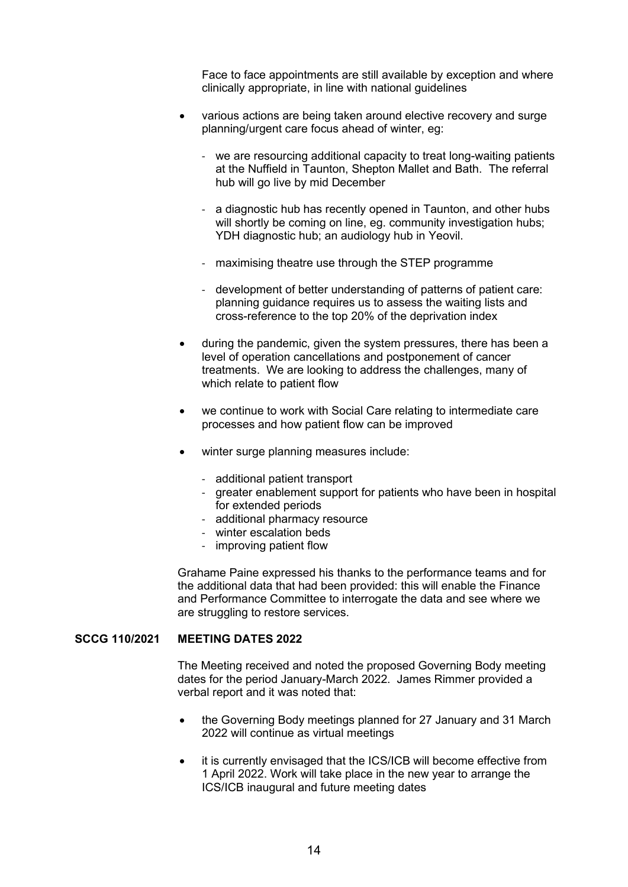Face to face appointments are still available by exception and where clinically appropriate, in line with national guidelines

- various actions are being taken around elective recovery and surge planning/urgent care focus ahead of winter, eg:
	- we are resourcing additional capacity to treat long-waiting patients at the Nuffield in Taunton, Shepton Mallet and Bath. The referral hub will go live by mid December
	- a diagnostic hub has recently opened in Taunton, and other hubs will shortly be coming on line, eg. community investigation hubs; YDH diagnostic hub; an audiology hub in Yeovil.
	- maximising theatre use through the STEP programme
	- development of better understanding of patterns of patient care: planning guidance requires us to assess the waiting lists and cross-reference to the top 20% of the deprivation index
- during the pandemic, given the system pressures, there has been a level of operation cancellations and postponement of cancer treatments. We are looking to address the challenges, many of which relate to patient flow
- we continue to work with Social Care relating to intermediate care processes and how patient flow can be improved
- winter surge planning measures include:
	- additional patient transport
	- greater enablement support for patients who have been in hospital for extended periods
	- additional pharmacy resource
	- winter escalation beds
	- improving patient flow

 Grahame Paine expressed his thanks to the performance teams and for the additional data that had been provided: this will enable the Finance and Performance Committee to interrogate the data and see where we are struggling to restore services.

#### **SCCG 110/2021 MEETING DATES 2022**

 The Meeting received and noted the proposed Governing Body meeting dates for the period January-March 2022. James Rimmer provided a verbal report and it was noted that:

- the Governing Body meetings planned for 27 January and 31 March 2022 will continue as virtual meetings
- it is currently envisaged that the ICS/ICB will become effective from 1 April 2022. Work will take place in the new year to arrange the ICS/ICB inaugural and future meeting dates